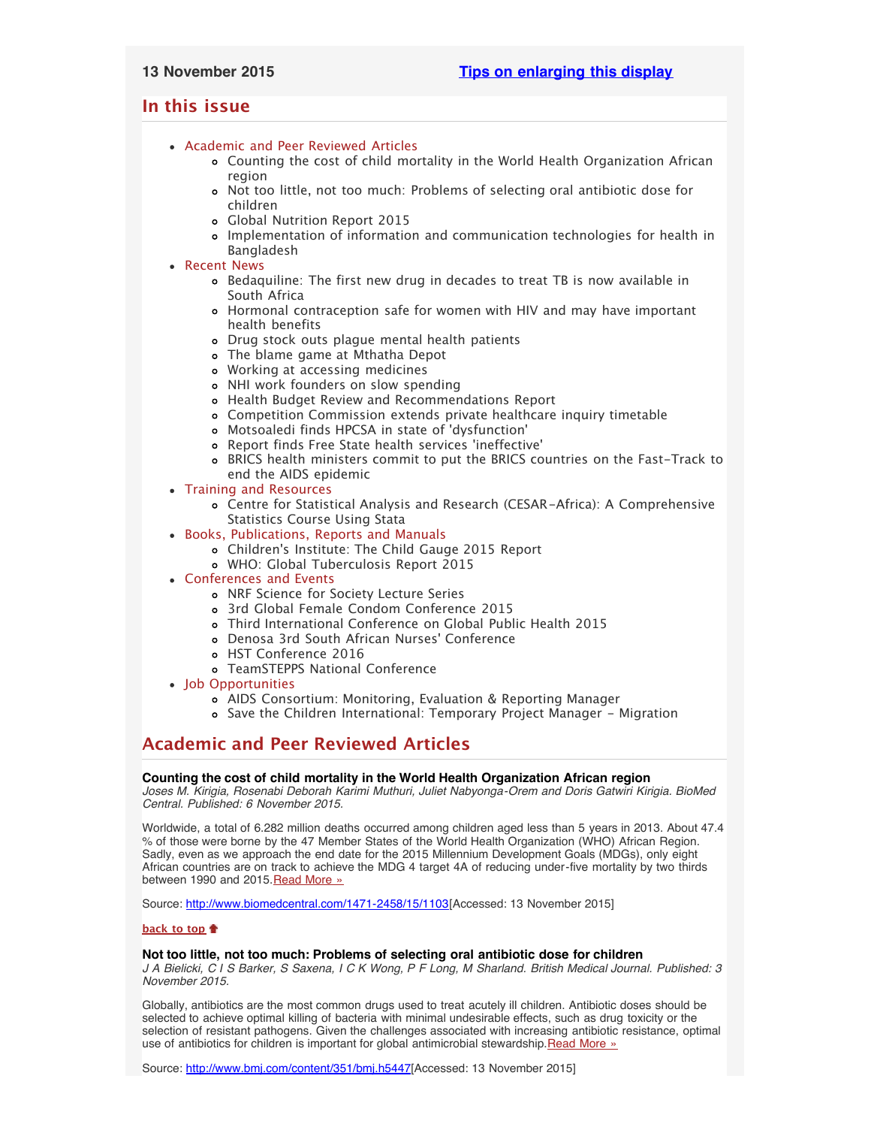# <span id="page-0-4"></span><span id="page-0-3"></span>**In this issue**

- [Academic and Peer Reviewed Articles](#page-0-0)
	- [Counting the cost of child mortality in the World Health Organization African](#page-0-1) [region](#page-0-1)
	- [Not too little, not too much: Problems of selecting oral antibiotic dose for](#page-0-2) [children](#page-0-2)
	- [Global Nutrition Report 2015](#page-1-0)
	- [Implementation of information and communication technologies for health in](#page-1-1) [Bangladesh](#page-1-1)
- [Recent News](#page-1-2)
	- [Bedaquiline: The first new drug in decades to treat TB is now available in](#page-1-3) [South Africa](#page-1-3)
	- [Hormonal contraception safe for women with HIV and may have important](#page-1-4) [health benefits](#page-1-4)
	- [Drug stock outs plague mental health patients](#page-1-5)
	- [The blame game at Mthatha Depot](#page-1-6)
	- [Working at accessing medicines](#page-2-0)
	- [NHI work founders on slow spending](#page-2-1)
	- [Health Budget Review and Recommendations Report](#page-2-0)
	- [Competition Commission extends private healthcare inquiry timetable](#page-2-0)
	- [Motsoaledi finds HPCSA in state of](#page-2-0) 'dysfunction'
	- [Report finds Free State health services](#page-2-0) 'ineffective'
	- [BRICS health ministers commit to put the BRICS countries on the Fast-Track to](#page-2-0) [end the AIDS epidemic](#page-2-0)
- [Training and Resources](#page-4-0)
	- [Centre for Statistical Analysis and Research \(CESAR-Africa\): A Comprehensive](#page-3-0) [Statistics Course Using Stata](#page-3-0)
- [Books, Publications, Reports and Manuals](#page-3-1)
	- Children['s Institute: The Child Gauge 2015 Report](#page-3-2)
	- [WHO: Global Tuberculosis Report 2015](#page-3-3)
- [Conferences and Events](#page-3-4)
	- [NRF Science for Society Lecture Series](#page-3-5)
	- [3rd Global Female Condom Conference 2015](#page-3-6)
	- [Third International Conference on Global Public Health 2015](#page-3-7)
	- [Denosa 3rd South African Nurses](#page-4-1)' Conference
	- [HST Conference 2016](#page-4-1)
	- [TeamSTEPPS National Conference](#page-0-3)
- [Job Opportunities](#page-0-3)
	- [AIDS Consortium: Monitoring, Evaluation & Reporting Manager](#page-4-2)
	- [Save the Children International: Temporary Project Manager Migration](#page-4-3)

# <span id="page-0-0"></span>**Academic and Peer Reviewed Articles**

# <span id="page-0-1"></span>**Counting the cost of child mortality in the World Health Organization African region**

*Joses M. Kirigia, Rosenabi Deborah Karimi Muthuri, Juliet Nabyonga-Orem and Doris Gatwiri Kirigia. BioMed Central. Published: 6 November 2015.*

Worldwide, a total of 6.282 million deaths occurred among children aged less than 5 years in 2013. About 47.4 % of those were borne by the 47 Member States of the World Health Organization (WHO) African Region. Sadly, even as we approach the end date for the 2015 Millennium Development Goals (MDGs), only eight African countries are on track to achieve the MDG 4 target 4A of reducing under-five mortality by two thirds between 1990 and 2015. [Read More »](http://www.biomedcentral.com/1471-2458/15/1103)

Source: <http://www.biomedcentral.com/1471-2458/15/1103>[Accessed: 13 November 2015]

# **[back to top](#page-0-4)**

# <span id="page-0-2"></span>**Not too little, not too much: Problems of selecting oral antibiotic dose for children**

*J A Bielicki, C I S Barker, S Saxena, I C K Wong, P F Long, M Sharland. British Medical Journal. Published: 3 November 2015.*

Globally, antibiotics are the most common drugs used to treat acutely ill children. Antibiotic doses should be selected to achieve optimal killing of bacteria with minimal undesirable effects, such as drug toxicity or the selection of resistant pathogens. Given the challenges associated with increasing antibiotic resistance, optimal use of antibiotics for children is important for global antimicrobial stewardship.[Read More »](http://www.bmj.com/content/351/bmj.h5447)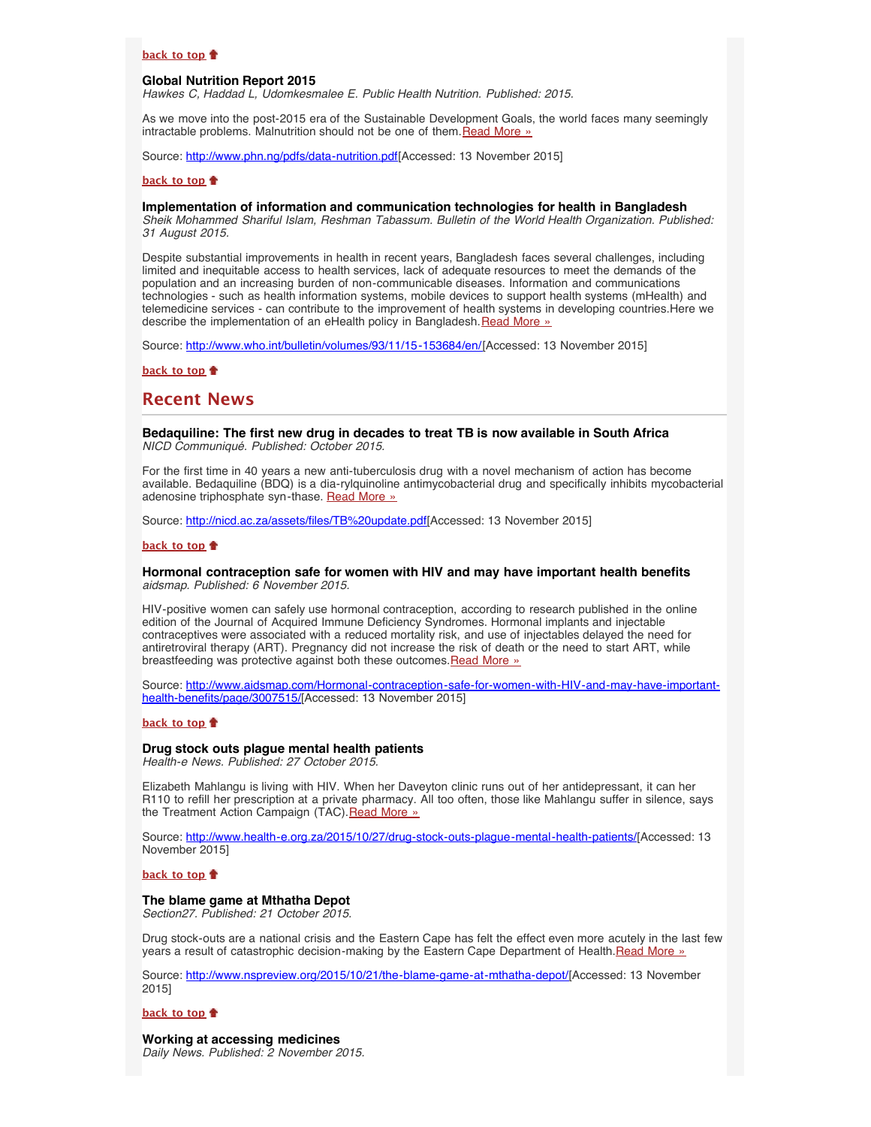#### **[back to top](#page-0-4)**

#### <span id="page-1-0"></span>**Global Nutrition Report 2015**

*Hawkes C, Haddad L, Udomkesmalee E. Public Health Nutrition. Published: 2015.*

As we move into the post-2015 era of the Sustainable Development Goals, the world faces many seemingly intractable problems. Malnutrition should not be one of them. [Read More »](http://www.phn.ng/pdfs/data-nutrition.pdf)

Source: <http://www.phn.ng/pdfs/data-nutrition.pdf>[Accessed: 13 November 2015]

# **[back to top](#page-0-4)**

# <span id="page-1-1"></span>**Implementation of information and communication technologies for health in Bangladesh**

*Sheik Mohammed Shariful Islam, Reshman Tabassum. Bulletin of the World Health Organization. Published: 31 August 2015.*

Despite substantial improvements in health in recent years, Bangladesh faces several challenges, including limited and inequitable access to health services, lack of adequate resources to meet the demands of the population and an increasing burden of non-communicable diseases. Information and communications technologies - such as health information systems, mobile devices to support health systems (mHealth) and telemedicine services - can contribute to the improvement of health systems in developing countries.Here we describe the implementation of an eHealth policy in Bangladesh. [Read More »](http://www.who.int/bulletin/volumes/93/11/15-153684/en/)

Source: [http://www.who.int/bulletin/volumes/93/11/15-153684/en/\[](http://www.who.int/bulletin/volumes/93/11/15-153684/en/)Accessed: 13 November 2015]

**[back to top](#page-0-4)**

# <span id="page-1-2"></span>**Recent News**

<span id="page-1-3"></span>**Bedaquiline: The first new drug in decades to treat TB is now available in South Africa** *NICD Communiqué. Published: October 2015.*

For the first time in 40 years a new anti-tuberculosis drug with a novel mechanism of action has become available. Bedaquiline (BDQ) is a dia-rylquinoline antimycobacterial drug and specifically inhibits mycobacterial adenosine triphosphate syn-thase. [Read More »](http://www.hst.org.za/news/bedaquiline-first-new-drug-decades-treat-tb-now-available-south-africa)

Source: [http://nicd.ac.za/assets/files/TB%20update.pdf\[](http://nicd.ac.za/assets/files/TB%20update.pdf)Accessed: 13 November 2015]

## **[back to top](#page-0-4)**

# <span id="page-1-4"></span>**Hormonal contraception safe for women with HIV and may have important health benefits** *aidsmap. Published: 6 November 2015.*

HIV-positive women can safely use hormonal contraception, according to research published in the online edition of the Journal of Acquired Immune Deficiency Syndromes. Hormonal implants and injectable contraceptives were associated with a reduced mortality risk, and use of injectables delayed the need for antiretroviral therapy (ART). Pregnancy did not increase the risk of death or the need to start ART, while breastfeeding was protective against both these outcomes. [Read More »](http://www.hst.org.za/news/hormonal-contraception-safe-women-hiv-and-may-have-important-health-benefits)

Source: [http://www.aidsmap.com/Hormonal-contraception-safe-for-women-with-HIV-and-may-have-important](http://www.aidsmap.com/Hormonal-contraception-safe-for-women-with-HIV-and-may-have-important-health-benefits/page/3007515/)[health-benefits/page/3007515/\[](http://www.aidsmap.com/Hormonal-contraception-safe-for-women-with-HIV-and-may-have-important-health-benefits/page/3007515/)Accessed: 13 November 2015]

## **[back to top](#page-0-4)**

# <span id="page-1-5"></span>**Drug stock outs plague mental health patients**

*Health-e News. Published: 27 October 2015.*

Elizabeth Mahlangu is living with HIV. When her Daveyton clinic runs out of her antidepressant, it can her R110 to refill her prescription at a private pharmacy. All too often, those like Mahlangu suffer in silence, says the Treatment Action Campaign (TAC). [Read More »](http://www.hst.org.za/news/drug-stock-outs-plague-mental-health-patients)

Source: <http://www.health-e.org.za/2015/10/27/drug-stock-outs-plague-mental-health-patients/>[Accessed: 13 November 2015]

# **[back to top](#page-0-4)**

#### <span id="page-1-6"></span>**The blame game at Mthatha Depot**

*Section27. Published: 21 October 2015.*

Drug stock-outs are a national crisis and the Eastern Cape has felt the effect even more acutely in the last few years a result of catastrophic decision-making by the Eastern Cape Department of Health.[Read More »](http://www.hst.org.za/news/blame-game-mthatha-depot)

Source: <http://www.nspreview.org/2015/10/21/the-blame-game-at-mthatha-depot/>[Accessed: 13 November 2015]

#### **[back to top](#page-0-4)**

**Working at accessing medicines** *Daily News. Published: 2 November 2015.*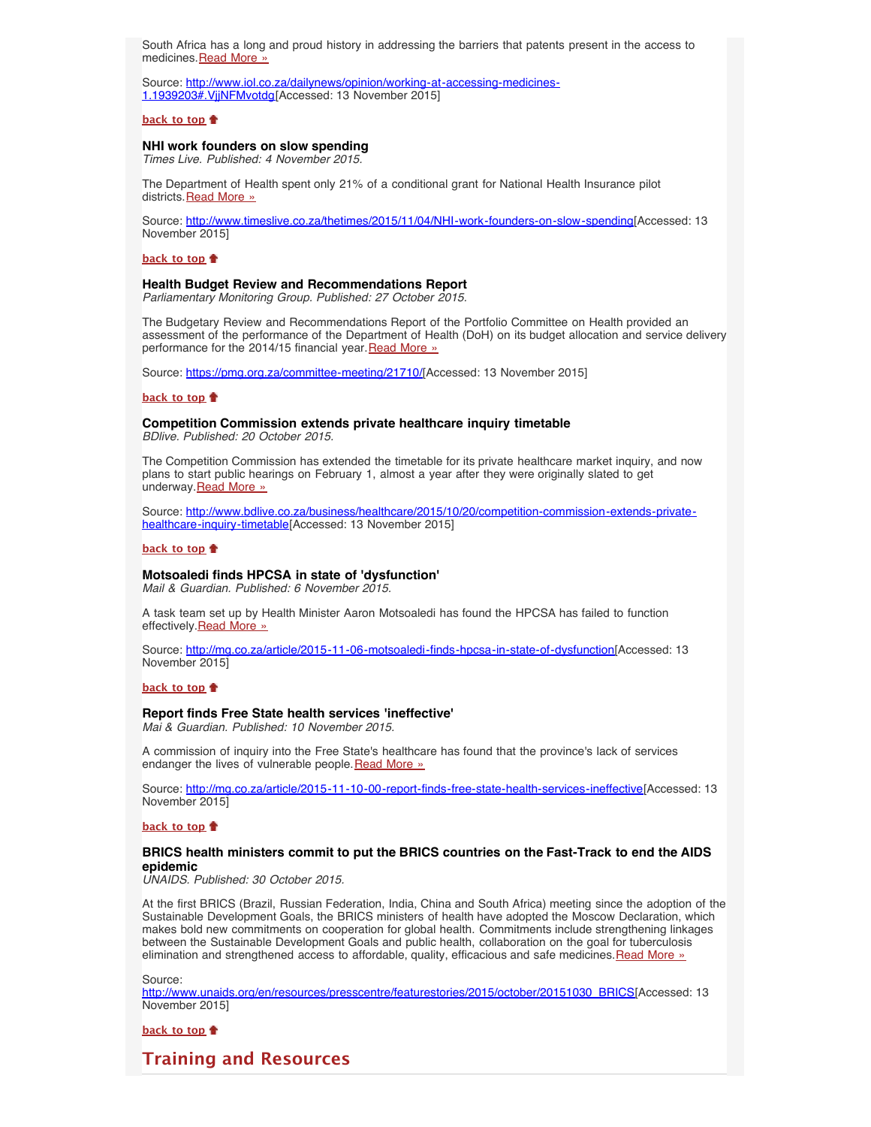South Africa has a long and proud history in addressing the barriers that patents present in the access to medicines. [Read More »](http://www.hst.org.za/news/working-accessing-medicines)

Source: [http://www.iol.co.za/dailynews/opinion/working-at-accessing-medicines-](http://www.iol.co.za/dailynews/opinion/working-at-accessing-medicines-1.1939203#.VjjNFMvotdg)[1.1939203#.VjjNFMvotdg\[](http://www.iol.co.za/dailynews/opinion/working-at-accessing-medicines-1.1939203#.VjjNFMvotdg)Accessed: 13 November 2015]

#### **[back to top](#page-0-4)**

# <span id="page-2-1"></span>**NHI work founders on slow spending**

*Times Live. Published: 4 November 2015.*

The Department of Health spent only 21% of a conditional grant for National Health Insurance pilot districts. [Read More »](http://www.hst.org.za/news/nhi-work-founders-slow-spending)

Source: [http://www.timeslive.co.za/thetimes/2015/11/04/NHI-work-founders-on-slow-spending\[](http://www.timeslive.co.za/thetimes/2015/11/04/NHI-work-founders-on-slow-spending)Accessed: 13 November 2015]

#### **[back to top](#page-0-4)**

#### **Health Budget Review and Recommendations Report**

*Parliamentary Monitoring Group. Published: 27 October 2015.*

The Budgetary Review and Recommendations Report of the Portfolio Committee on Health provided an assessment of the performance of the Department of Health (DoH) on its budget allocation and service delivery performance for the 2014/15 financial year. [Read More »](https://pmg.org.za/committee-meeting/21710/)

Source: [https://pmg.org.za/committee-meeting/21710/\[](https://pmg.org.za/committee-meeting/21710/)Accessed: 13 November 2015]

# **[back to top](#page-0-4)**

#### **Competition Commission extends private healthcare inquiry timetable** *BDlive. Published: 20 October 2015.*

The Competition Commission has extended the timetable for its private healthcare market inquiry, and now plans to start public hearings on February 1, almost a year after they were originally slated to get underway. Read More »

Source: [http://www.bdlive.co.za/business/healthcare/2015/10/20/competition-commission-extends-private](http://www.bdlive.co.za/business/healthcare/2015/10/20/competition-commission-extends-private-healthcare-inquiry-timetable)[healthcare-inquiry-timetable\[](http://www.bdlive.co.za/business/healthcare/2015/10/20/competition-commission-extends-private-healthcare-inquiry-timetable)Accessed: 13 November 2015]

## **[back to top](#page-0-4)**

## **Motsoaledi finds HPCSA in state of 'dysfunction'**

*Mail & Guardian. Published: 6 November 2015.*

A task team set up by Health Minister Aaron Motsoaledi has found the HPCSA has failed to function effectively. [Read More »](http://www.hst.org.za/news/motsoaledi-finds-hpcsa-state-dysfunction)

Source: [http://mg.co.za/article/2015-11-06-motsoaledi-finds-hpcsa-in-state-of-dysfunction\[](http://mg.co.za/article/2015-11-06-motsoaledi-finds-hpcsa-in-state-of-dysfunction)Accessed: 13 November 2015]

#### **[back to top](#page-0-4)**

# **Report finds Free State health services 'ineffective'**

*Mai & Guardian. Published: 10 November 2015.*

A commission of inquiry into the Free State's healthcare has found that the province's lack of services endanger the lives of vulnerable people. [Read More »](http://www.hst.org.za/news/report-finds-free-state-health-services-ineffective)

Source: [http://mg.co.za/article/2015-11-10-00-report-finds-free-state-health-services-ineffective\[](http://mg.co.za/article/2015-11-10-00-report-finds-free-state-health-services-ineffective)Accessed: 13 November 2015]

#### **[back to top](#page-0-4)**

# <span id="page-2-0"></span>**BRICS health ministers commit to put the BRICS countries on the Fast-Track to end the AIDS epidemic**

*UNAIDS. Published: 30 October 2015.*

At the first BRICS (Brazil, Russian Federation, India, China and South Africa) meeting since the adoption of the Sustainable Development Goals, the BRICS ministers of health have adopted the Moscow Declaration, which makes bold new commitments on cooperation for global health. Commitments include strengthening linkages between the Sustainable Development Goals and public health, collaboration on the goal for tuberculosis elimination and strengthened access to affordable, quality, efficacious and safe medicines. [Read More »](http://www.hst.org.za/news/brics-health-ministers-commit-put-brics-countries-fast-track-end-aids-epidemic)

Source: [http://www.unaids.org/en/resources/presscentre/featurestories/2015/october/20151030\\_BRICS\[](http://www.unaids.org/en/resources/presscentre/featurestories/2015/october/20151030_BRICS)Accessed: 13 November 2015]

# **[back to top](#page-0-4)**

# **Training and Resources**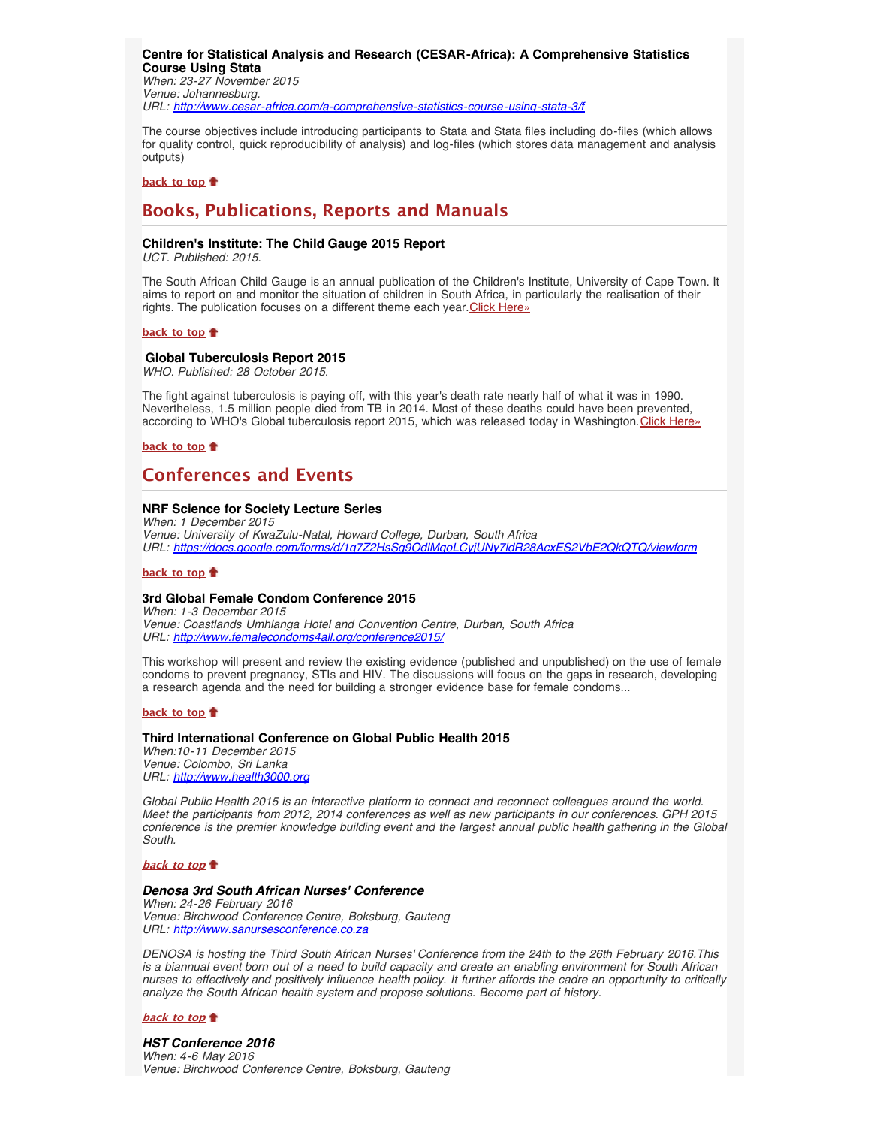<span id="page-3-0"></span>**Centre for Statistical Analysis and Research (CESAR-Africa): A Comprehensive Statistics Course Using Stata** *When: 23-27 November 2015 Venue: Johannesburg. URL: <http://www.cesar-africa.com/a-comprehensive-statistics-course-using-stata-3/f>*

The course objectives include introducing participants to Stata and Stata files including do-files (which allows for quality control, quick reproducibility of analysis) and log-files (which stores data management and analysis outputs)

#### **[back to top](#page-0-4)**

# <span id="page-3-1"></span>**Books, Publications, Reports and Manuals**

## <span id="page-3-2"></span>**Children's Institute: The Child Gauge 2015 Report**

*UCT. Published: 2015.*

The South African Child Gauge is an annual publication of the Children's Institute, University of Cape Town. It aims to report on and monitor the situation of children in South Africa, in particularly the realisation of their rights. The publication focuses on a different theme each year. [Click Here»](http://www.hst.org.za/publications/children-s-institute-child-gauge-2015-report)

#### **[back to top](#page-0-4)**

# **Global Tuberculosis Report 2015**

<span id="page-3-3"></span>*WHO. Published: 28 October 2015.*

The fight against tuberculosis is paying off, with this year's death rate nearly half of what it was in 1990. Nevertheless, 1.5 million people died from TB in 2014. Most of these deaths could have been prevented, according to WHO's Global tuberculosis report 2015, which was released today in Washington. [Click Here»](http://www.hst.org.za/publications/who-global-tuberculosis-report-2015)

# **[back to top](#page-0-4)**

# <span id="page-3-4"></span>**Conferences and Events**

# <span id="page-3-5"></span>**NRF Science for Society Lecture Series**

*When: 1 December 2015 Venue: University of KwaZulu-Natal, Howard College, Durban, South Africa URL: <https://docs.google.com/forms/d/1g7Z2HsSq9OdlMqoLCyjUNy7ldR28AcxES2VbE2QkQTQ/viewform>*

#### **[back to top](#page-0-4)**

## <span id="page-3-6"></span>**3rd Global Female Condom Conference 2015**

*When: 1-3 December 2015 Venue: Coastlands Umhlanga Hotel and Convention Centre, Durban, South Africa URL: [http://www.femalecondoms4all.org/conference2015/](http://www.femalecondoms4all.org/conference2015/conference-programme)*

This workshop will present and review the existing evidence (published and unpublished) on the use of female condoms to prevent pregnancy, STIs and HIV. The discussions will focus on the gaps in research, developing a research agenda and the need for building a stronger evidence base for female condoms...

#### **[back to top](#page-0-4)**

# <span id="page-3-7"></span>**Third International Conference on Global Public Health 2015**

*When:10-11 December 2015 Venue: Colombo, Sri Lanka URL: [http://www.health3000.org](http://www.health3000.org/)*

*Global Public Health 2015 is an interactive platform to connect and reconnect colleagues around the world. Meet the participants from 2012, 2014 conferences as well as new participants in our conferences. GPH 2015 conference is the premier knowledge building event and the largest annual public health gathering in the Global South.*

**[back to top](#page-0-4)**

#### *Denosa 3rd South African Nurses' Conference*

*When: 24-26 February 2016 Venue: Birchwood Conference Centre, Boksburg, Gauteng URL: [http://www.sanursesconference.co.za](http://www.sanursesconference.co.za/)*

*DENOSA is hosting the Third South African Nurses' Conference from the 24th to the 26th February 2016.This is a biannual event born out of a need to build capacity and create an enabling environment for South African nurses to effectively and positively influence health policy. It further affords the cadre an opportunity to critically analyze the South African health system and propose solutions. Become part of history.*

### **[back to top](#page-0-4)**

## *HST Conference 2016 When: 4-6 May 2016 Venue: Birchwood Conference Centre, Boksburg, Gauteng*